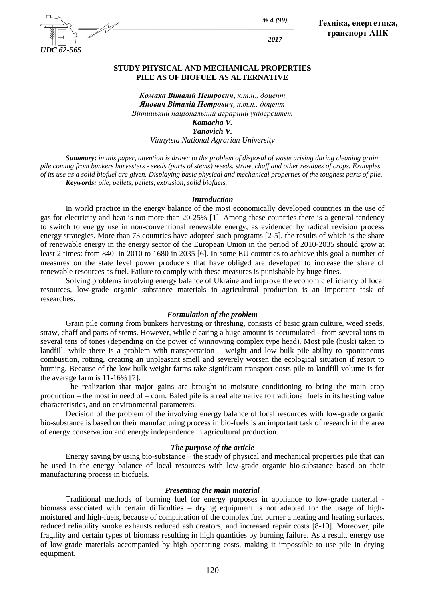

*№ 4 (99)*

*2017*

**Техніка, енергетика, транспорт АПК**

### **STUDY PHYSICAL AND MECHANICAL PROPERTIES PILE AS OF BIOFUEL AS ALTERNATIVE**

*Комаха Віталій Петрович, к.т.н., доцент Янович Віталій Петрович, к.т.н., доцент Вінницький національний аграрний університет Komacha V. Yanovich V. Vinnytsia National Agrarian University*

*Summary***:** *in this paper, attention is drawn to the problem of disposal of waste arising during cleaning grain pile coming from bunkers harvesters - seeds (parts of stems) weeds, straw, chaff and other residues of crops. Examples of its use as a solid biofuel are given. Displaying basic physical and mechanical properties of the toughest parts of pile. Keywords: pile, pellets, pellets, extrusion, solid biofuels.*

### *Introduction*

In world practice in the energy balance of the most economically developed countries in the use of gas for electricity and heat is not more than 20-25% [1]. Among these countries there is a general tendency to switch to energy use in non-conventional renewable energy, as evidenced by radical revision process energy strategies. More than 73 countries have adopted such programs [2-5], the results of which is the share of renewable energy in the energy sector of the European Union in the period of 2010-2035 should grow at least 2 times: from 840 in 2010 to 1680 in 2035 [6]. In some EU countries to achieve this goal a number of measures on the state level power producers that have obliged are developed to increase the share of renewable resources as fuel. Failure to comply with these measures is punishable by huge fines.

Solving problems involving energy balance of Ukraine and improve the economic efficiency of local resources, low-grade organic substance materials in agricultural production is an important task of researches.

#### *Formulation of the problem*

Grain pile coming from bunkers harvesting or threshing, consists of basic grain culture, weed seeds, straw, chaff and parts of stems. However, while clearing a huge amount is accumulated - from several tons to several tens of tones (depending on the power of winnowing complex type head). Most pile (husk) taken to landfill, while there is a problem with transportation – weight and low bulk pile ability to spontaneous combustion, rotting, creating an unpleasant smell and severely worsen the ecological situation if resort to burning. Because of the low bulk weight farms take significant transport costs pile to landfill volume is for the average farm is 11-16% [7].

The realization that major gains are brought to moisture conditioning to bring the main crop production – the most in need of – corn. Baled pile is a real alternative to traditional fuels in its heating value characteristics, and on environmental parameters.

Decision of the problem of the involving energy balance of local resources with low-grade organic bio-substance is based on their manufacturing process in bio-fuels is an important task of research in the area of energy conservation and energy independence in agricultural production.

### *The purpose of the article*

Energy saving by using bio-substance – the study of physical and mechanical properties pile that can be used in the energy balance of local resources with low-grade organic bio-substance based on their manufacturing process in biofuels.

### *Presenting the main material*

Traditional methods of burning fuel for energy purposes in appliance to low-grade material biomass associated with certain difficulties – drying equipment is not adapted for the usage of highmoistured and high-fuels, because of complication of the complex fuel burner a heating and heating surfaces, reduced reliability smoke exhausts reduced ash creators, and increased repair costs [8-10]. Moreover, pile fragility and certain types of biomass resulting in high quantities by burning failure. As a result, energy use of low-grade materials accompanied by high operating costs, making it impossible to use pile in drying equipment.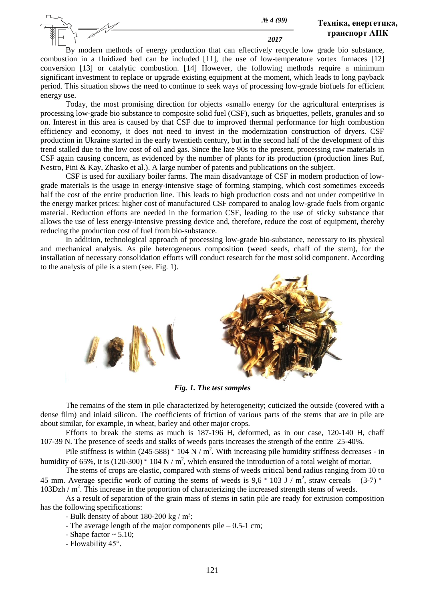*2017*

By modern methods of energy production that can effectively recycle low grade bio substance, combustion in a fluidized bed can be included [11], the use of low-temperature vortex furnaces [12] conversion [13] or catalytic combustion. [14] However, the following methods require a minimum significant investment to replace or upgrade existing equipment at the moment, which leads to long payback period. This situation shows the need to continue to seek ways of processing low-grade biofuels for efficient energy use.

Today, the most promising direction for objects «small» energy for the agricultural enterprises is processing low-grade bio substance to composite solid fuel (CSF), such as briquettes, pellets, granules and so on. Interest in this area is caused by that CSF due to improved thermal performance for high combustion efficiency and economy, it does not need to invest in the modernization construction of dryers. CSF production in Ukraine started in the early twentieth century, but in the second half of the development of this trend stalled due to the low cost of oil and gas. Since the late 90s to the present, processing raw materials in CSF again causing concern, as evidenced by the number of plants for its production (production lines Ruf, Nestro, Pini & Kay, Zhasko et al.). A large number of patents and publications on the subject.

CSF is used for auxiliary boiler farms. The main disadvantage of CSF in modern production of lowgrade materials is the usage in energy-intensive stage of forming stamping, which cost sometimes exceeds half the cost of the entire production line. This leads to high production costs and not under competitive in the energy market prices: higher cost of manufactured CSF compared to analog low-grade fuels from organic material. Reduction efforts are needed in the formation CSF, leading to the use of sticky substance that allows the use of less energy-intensive pressing device and, therefore, reduce the cost of equipment, thereby reducing the production cost of fuel from bio-substance.

In addition, technological approach of processing low-grade bio-substance, necessary to its physical and mechanical analysis. As pile heterogeneous composition (weed seeds, chaff of the stem), for the installation of necessary consolidation efforts will conduct research for the most solid component. According to the analysis of pile is a stem (see. Fig. 1).



*Fig. 1. The test samples*

The remains of the stem in pile characterized by heterogeneity; cuticized the outside (covered with a dense film) and inlaid silicon. The coefficients of friction of various parts of the stems that are in pile are about similar, for example, in wheat, barley and other major crops.

Efforts to break the stems as much is 187-196 H, deformed, as in our case, 120-140 H, chaff 107-39 N. The presence of seeds and stalks of weeds parts increases the strength of the entire 25-40%.

Pile stiffness is within  $(245-588)$   $\cdot$  104 N / m<sup>2</sup>. With increasing pile humidity stiffness decreases - in humidity of 65%, it is (120-300)  $\cdot$  104 N / m<sup>2</sup>, which ensured the introduction of a total weight of mortar.

The stems of crops are elastic, compared with stems of weeds critical bend radius ranging from 10 to 45 mm. Average specific work of cutting the stems of weeds is  $9.6 \cdot 103 \text{ J} / \text{m}^2$ , straw cereals – (3-7) 103Dzh / m<sup>2</sup>. This increase in the proportion of characterizing the increased strength stems of weeds.

As a result of separation of the grain mass of stems in satin pile are ready for extrusion composition has the following specifications:

- Bulk density of about  $180-200$  kg / m<sup>3</sup>;

- The average length of the major components pile 0.5-1 cm;
- Shape factor  $\sim$  5.10;
- Flowability 45°.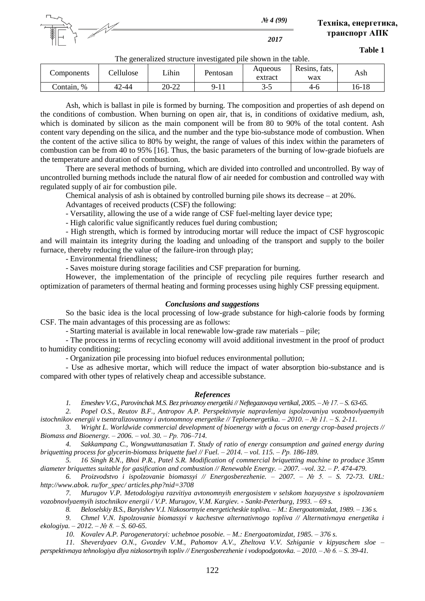

*2017*

**Table 1**

The generalized structure investigated pile shown in the table.

| Components       | ellulose | ihinـ | Pentosan  | Aqueous<br>extract | fats,<br>Resins,<br>wax | Ash   |
|------------------|----------|-------|-----------|--------------------|-------------------------|-------|
| $\%$<br>Contain. | 42-44    | 20-22 | $Q_{-}$ . | ┒–<br>ັັ           | 4-6                     | 16-18 |

Ash, which is ballast in pile is formed by burning. The composition and properties of ash depend on the conditions of combustion. When burning on open air, that is, in conditions of oxidative medium, ash, which is dominated by silicon as the main component will be from 80 to 90% of the total content. Ash content vary depending on the silica, and the number and the type bio-substance mode of combustion. When the content of the active silica to 80% by weight, the range of values of this index within the parameters of combustion can be from 40 to 95% [16]. Thus, the basic parameters of the burning of low-grade biofuels are the temperature and duration of combustion.

There are several methods of burning, which are divided into controlled and uncontrolled. By way of uncontrolled burning methods include the natural flow of air needed for combustion and controlled way with regulated supply of air for combustion pile.

Chemical analysis of ash is obtained by controlled burning pile shows its decrease – at 20%.

Advantages of received products (CSF) the following:

- Versatility, allowing the use of a wide range of CSF fuel-melting layer device type;

- High calorific value significantly reduces fuel during combustion;

- High strength, which is formed by introducing mortar will reduce the impact of CSF hygroscopic and will maintain its integrity during the loading and unloading of the transport and supply to the boiler furnace, thereby reducing the value of the failure-iron through play;

- Environmental friendliness;

- Saves moisture during storage facilities and CSF preparation for burning.

However, the implementation of the principle of recycling pile requires further research and optimization of parameters of thermal heating and forming processes using highly CSF pressing equipment.

## *Conclusions and suggestions*

So the basic idea is the local processing of low-grade substance for high-calorie foods by forming CSF. The main advantages of this processing are as follows:

- Starting material is available in local renewable low-grade raw materials – pile;

- The process in terms of recycling economy will avoid additional investment in the proof of product to humidity conditioning;

- Organization pile processing into biofuel reduces environmental pollution;

- Use as adhesive mortar, which will reduce the impact of water absorption bio-substance and is compared with other types of relatively cheap and accessible substance.

# *References*

*1. Emeshev V.G., Parovinchak M.S. Bez privoznoy energetiki // Neftegazovaya vertikal, 2005. – № 17. – S. 63-65.*

*2. Popel O.S., Reutov B.F., Antropov A.P. Perspektivnyie napravleniya ispolzovaniya vozobnovlyaemyih istochnikov energii v tsentralizovannoy i avtonomnoy energetike // Teploenergetika. – 2010. – № 11. – S. 2-11.*

*3. Wright L. Worldwide commercial development of bioenergy with a focus on energy crop-based projects // Biomass and Bioenergy. – 2006. – vol. 30. – Рp. 706–714.*

*4. Sakkampang C., Wongwuttanasatian T. Study of ratio of energy consumption and gained energy during briquetting process for glycerin-biomass briquette fuel // Fuel. – 2014. – vol. 115. – Рp. 186-189.*

*5. 16 Singh R.N., Bhoi P.R., Patel S.R. Modification of commercial briquetting machine to produce 35mm diameter briquettes suitable for gasification and combustion // Renewable Energy. – 2007. –vol. 32. – Р. 474-479.*

*6. Proizvodstvo i ispolzovanie biomassyi // Energosberezhenie. – 2007. – № 5. – S. 72-73. URL: http://www.abok. ru/for\_spec/ articles.php?nid=3708*

*7. Murugov V.P. Metodologiya razvitiya avtonomnyih energosistem v selskom hozyaystve s ispolzovaniem vozobnovlyaemyih istochnikov energii / V.P. Murugov, V.M. Kargiev. - Sankt-Peterburg, 1993. – 69 s.*

*8. Beloselskiy B.S., Baryishev V.I. Nizkosortnyie energeticheskie topliva. – M.: Energoatomizdat, 1989. – 136 s.*

*9. Chmel V.N. Ispolzovanie biomassyi v kachestve alternativnogo topliva // Alternativnaya energetika i ekologiya. – 2012. – № 8. – S. 60-65.*

*10. Kovalev A.P. Parogeneratoryi: uchebnoe posobie. – M.: Energoatomizdat, 1985. – 376 s.*

*11. Sheverdyaev O.N., Gvozdev V.M., Pahomov A.V., Zheltova V.V. Szhiganie v kipyaschem sloe – perspektivnaya tehnologiya dlya nizkosortnyih topliv // Energosberezhenie i vodopodgotovka. – 2010. – № 6. – S. 39-41.*